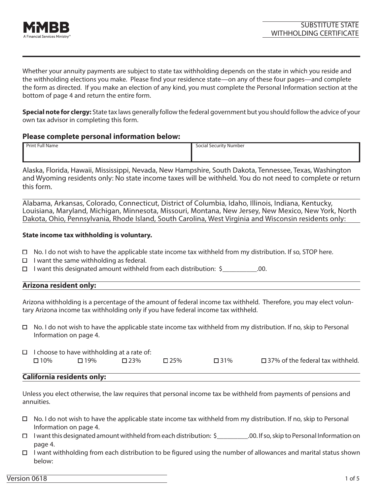

Whether your annuity payments are subject to state tax withholding depends on the state in which you reside and the withholding elections you make. Please find your residence state—on any of these four pages—and complete the form as directed. If you make an election of any kind, you must complete the Personal Information section at the bottom of page 4 and return the entire form.

**Special note for clergy:** State tax laws generally follow the federal government but you should follow the advice of your own tax advisor in completing this form.

### **Please complete personal information below:**

| Print Full Name | Social Security Number |
|-----------------|------------------------|
|                 |                        |
|                 |                        |

Alaska, Florida, Hawaii, Mississippi, Nevada, New Hampshire, South Dakota, Tennessee, Texas, Washington and Wyoming residents only: No state income taxes will be withheld. You do not need to complete or return this form.

Alabama, Arkansas, Colorado, Connecticut, District of Columbia, Idaho, Illinois, Indiana, Kentucky, Louisiana, Maryland, Michigan, Minnesota, Missouri, Montana, New Jersey, New Mexico, New York, North Dakota, Ohio, Pennsylvania, Rhode Island, South Carolina, West Virginia and Wisconsin residents only:

#### **State income tax withholding is voluntary.**

- $\Box$  No. I do not wish to have the applicable state income tax withheld from my distribution. If so, STOP here.
- $\Box$  I want the same withholding as federal.
- $\Box$  I want this designated amount withheld from each distribution:  $\zeta$  [00.

# **Arizona resident only:**

Arizona withholding is a percentage of the amount of federal income tax withheld. Therefore, you may elect voluntary Arizona income tax withholding only if you have federal income tax withheld.

 $\Box$  No. I do not wish to have the applicable state income tax withheld from my distribution. If no, skip to Personal Information on page 4.

| $\Box$ I choose to have withholding at a rate of: |            |            |       |            |                                            |  |  |  |
|---------------------------------------------------|------------|------------|-------|------------|--------------------------------------------|--|--|--|
| $\Box$ 10%                                        | $\Box$ 19% | $\Box$ 23% | □ 25% | $\Box$ 31% | $\square$ 37% of the federal tax withheld. |  |  |  |
|                                                   |            |            |       |            |                                            |  |  |  |

#### **California residents only:**

Unless you elect otherwise, the law requires that personal income tax be withheld from payments of pensions and annuities.

- No. I do not wish to have the applicable state income tax withheld from my distribution. If no, skip to Personal Information on page 4.
- I want this designated amount withheld from each distribution: \$\_\_\_\_\_\_\_\_\_.00. If so, skip to Personal Information on page 4.
- I want withholding from each distribution to be figured using the number of allowances and marital status shown below: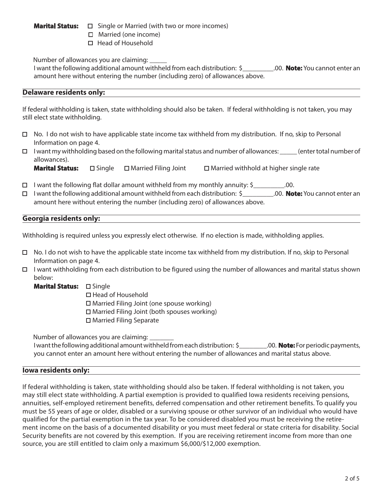- **Marital Status:**  $\Box$  Single or Married (with two or more incomes)
	- □ Married (one income)
	- $\Box$  Head of Household

Number of allowances you are claiming: \_\_\_\_\_

I want the following additional amount withheld from each distribution: \$\_\_\_\_\_\_\_\_\_.00. **Note:** You cannot enter an amount here without entering the number (including zero) of allowances above.

# **Delaware residents only:**

If federal withholding is taken, state withholding should also be taken. If federal withholding is not taken, you may still elect state withholding.

- No. I do not wish to have applicable state income tax withheld from my distribution. If no, skip to Personal Information on page 4.
- $\Box$  I want my withholding based on the following marital status and number of allowances: \_\_\_\_\_ (enter total number of allowances).

**Marital Status:** □ Single □ Married Filing Joint □ Married withhold at higher single rate

- $\Box$  I want the following flat dollar amount withheld from my monthly annuity: \$\_\_\_\_\_\_\_\_\_\_.00.
- I want the following additional amount withheld from each distribution: \$\_\_\_\_\_\_\_\_\_.00. **Note:** You cannot enter an amount here without entering the number (including zero) of allowances above.

# **Georgia residents only:**

Withholding is required unless you expressly elect otherwise. If no election is made, withholding applies.

- $\Box$  No. I do not wish to have the applicable state income tax withheld from my distribution. If no, skip to Personal Information on page 4.
- I want withholding from each distribution to be figured using the number of allowances and marital status shown below:
	- Marital Status: **D** Single

□ Head of Household Married Filing Joint (one spouse working)  $\Box$  Married Filing Joint (both spouses working) □ Married Filing Separate

Number of allowances you are claiming: \_\_\_\_\_\_\_

I want the following additional amount withheld from each distribution: \$\_\_\_\_\_\_\_\_.00. **Note:** For periodic payments, you cannot enter an amount here without entering the number of allowances and marital status above.

# **Iowa residents only:**

If federal withholding is taken, state withholding should also be taken. If federal withholding is not taken, you may still elect state withholding. A partial exemption is provided to qualified Iowa residents receiving pensions, annuities, self-employed retirement benefits, deferred compensation and other retirement benefits. To qualify you must be 55 years of age or older, disabled or a surviving spouse or other survivor of an individual who would have qualified for the partial exemption in the tax year. To be considered disabled you must be receiving the retirement income on the basis of a documented disability or you must meet federal or state criteria for disability. Social Security benefits are not covered by this exemption. If you are receiving retirement income from more than one source, you are still entitled to claim only a maximum \$6,000/\$12,000 exemption.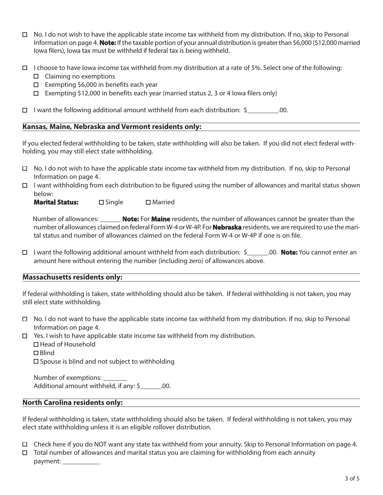- No. I do not wish to have the applicable state income tax withheld from my distribution. If no, skip to Personal Information on page 4. **Note:** If the taxable portion of your annual distribution is greater than \$6,000 (\$12,000 married Iowa filers), Iowa tax must be withheld if federal tax is being withheld.
- $\Box$  I choose to have Iowa income tax withheld from my distribution at a rate of 5%. Select one of the following:
	- $\Box$  Claiming no exemptions
	- $\Box$  Exempting \$6,000 in benefits each year
	- Exempting \$12,000 in benefits each year (married status 2, 3 or 4 lowa filers only)

 $\Box$  I want the following additional amount withheld from each distribution: \$\_\_\_\_\_\_\_\_\_\_\_.00.

### **Kansas, Maine, Nebraska and Vermont residents only:**

If you elected federal withholding to be taken, state withholding will also be taken. If you did not elect federal withholding, you may still elect state withholding.

- $\Box$  No. I do not wish to have the applicable state income tax withheld from my distribution. If no, skip to Personal Information on page 4.
- $\Box$  I want withholding from each distribution to be figured using the number of allowances and marital status shown below:

**Marital Status:** □ Single □ Married

 Number of allowances: \_\_\_\_\_\_ **Note:** For **Maine** residents, the number of allowances cannot be greater than the number of allowances claimed on federal Form W-4 or W-4P. For **Nebraska** residents, we are required to use the marital status and number of allowances claimed on the federal Form W-4 or W-4P if one is on file.

I want the following additional amount withheld from each distribution: \$\_\_\_\_\_\_.00. **Note:** You cannot enter an amount here without entering the number (including zero) of allowances above.

#### **Massachusetts residents only:**

If federal withholding is taken, state withholding should also be taken. If federal withholding is not taken, you may still elect state withholding.

- $\Box$  No. I do not want to have the applicable state income tax withheld from my distribution. If no, skip to Personal Information on page 4.
- $\Box$  Yes. I wish to have applicable state income tax withheld from my distribution.
	- □ Head of Household
	- □ Blind

 $\square$  Spouse is blind and not subject to withholding

Number of exemptions: Additional amount withheld, if any: \$ .00.

#### **North Carolina residents only:**

If federal withholding is taken, state withholding should also be taken. If federal withholding is not taken, you may elect state withholding unless it is an eligible rollover distribution.

- Check here if you do NOT want any state tax withheld from your annuity. Skip to Personal Information on page 4.
- $\Box$  Total number of allowances and marital status you are claiming for withholding from each annuity payment: \_\_\_\_\_\_\_\_\_\_\_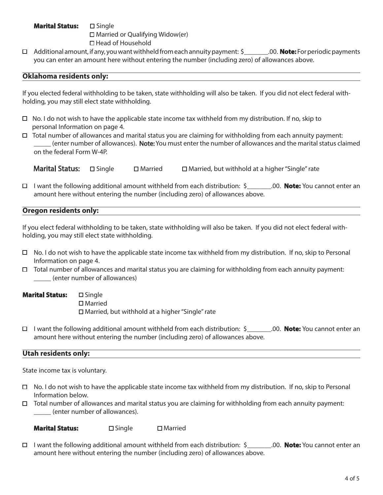# **Marital Status: 
□ Single**  $\Box$  Married or Qualifying Widow(er) Head of Household

Additional amount, if any, you want withheld from each annuity payment: \$\_\_\_\_\_\_\_.00. **Note:** For periodic payments you can enter an amount here without entering the number (including zero) of allowances above.

# **Oklahoma residents only:**

If you elected federal withholding to be taken, state withholding will also be taken. If you did not elect federal withholding, you may still elect state withholding.

- $\Box$  No. I do not wish to have the applicable state income tax withheld from my distribution. If no, skip to personal Information on page 4.
- $\Box$  Total number of allowances and marital status you are claiming for withholding from each annuity payment: (enter number of allowances). **Note:** You must enter the number of allowances and the marital status claimed on the federal Form W-4P.

**Marital Status:**  $\Box$  Single  $\Box$  Married  $\Box$  Married, but withhold at a higher "Single" rate

I want the following additional amount withheld from each distribution: \$\_\_\_\_\_\_\_.00. **Note:** You cannot enter an amount here without entering the number (including zero) of allowances above.

# **Oregon residents only:**

If you elect federal withholding to be taken, state withholding will also be taken. If you did not elect federal withholding, you may still elect state withholding.

- $\Box$  No. I do not wish to have the applicable state income tax withheld from my distribution. If no, skip to Personal Information on page 4.
- $\Box$  Total number of allowances and marital status you are claiming for withholding from each annuity payment: \_\_\_\_\_ (enter number of allowances)

Marital Status: **Single** □ Married Married, but withhold at a higher "Single" rate

I want the following additional amount withheld from each distribution: \$\_\_\_\_\_\_\_.00. **Note:** You cannot enter an amount here without entering the number (including zero) of allowances above.

# **Utah residents only:**

State income tax is voluntary.

- $\Box$  No. I do not wish to have the applicable state income tax withheld from my distribution. If no, skip to Personal Information below.
- $\Box$  Total number of allowances and marital status you are claiming for withholding from each annuity payment: \_\_\_\_\_ (enter number of allowances).

**Marital Status:** □ Single □ Married

I want the following additional amount withheld from each distribution: \$\_\_\_\_\_\_\_.00. **Note:** You cannot enter an amount here without entering the number (including zero) of allowances above.